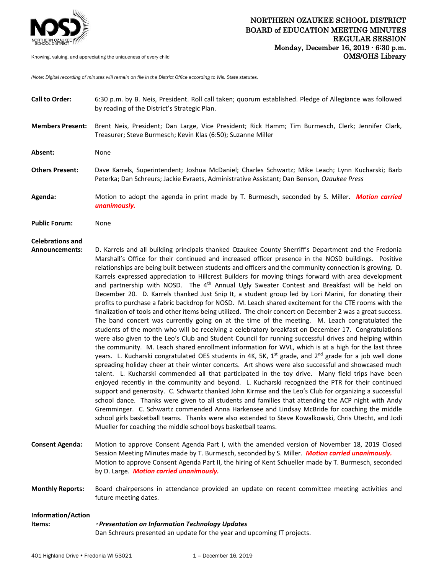

# NORTHERN OZAUKEE SCHOOL DISTRICT BOARD of EDUCATION MEETING MINUTES

REGULAR SESSION Monday, December 16, 2019 ∙ 6:30 p.m. Knowing, valuing, and appreciating the uniqueness of every child **COMS** COMS COMS COMS Research OMS/OHS Library

*(Note: Digital recording of minutes will remain on file in the District Office according to Wis. State statutes.* 

- **Call to Order:** 6:30 p.m. by B. Neis, President. Roll call taken; quorum established. Pledge of Allegiance was followed by reading of the District's Strategic Plan.
- **Members Present:** Brent Neis, President; Dan Large, Vice President; Rick Hamm; Tim Burmesch, Clerk; Jennifer Clark, Treasurer; Steve Burmesch; Kevin Klas (6:50); Suzanne Miller
- Absent: None
- **Others Present:** Dave Karrels, Superintendent; Joshua McDaniel; Charles Schwartz; Mike Leach; Lynn Kucharski; Barb Peterka; Dan Schreurs; Jackie Evraets, Administrative Assistant; Dan Benson, *Ozaukee Press*
- **Agenda:** Motion to adopt the agenda in print made by T. Burmesch, seconded by S. Miller. *Motion carried unanimously.*
- **Public Forum:** None

## **Celebrations and**

- **Announcements:** D. Karrels and all building principals thanked Ozaukee County Sherriff's Department and the Fredonia Marshall's Office for their continued and increased officer presence in the NOSD buildings. Positive relationships are being built between students and officers and the community connection is growing. D. Karrels expressed appreciation to Hillcrest Builders for moving things forward with area development and partnership with NOSD. The  $4<sup>th</sup>$  Annual Ugly Sweater Contest and Breakfast will be held on December 20. D. Karrels thanked Just Snip It, a student group led by Lori Marini, for donating their profits to purchase a fabric backdrop for NOSD. M. Leach shared excitement for the CTE rooms with the finalization of tools and other items being utilized. The choir concert on December 2 was a great success. The band concert was currently going on at the time of the meeting. M. Leach congratulated the students of the month who will be receiving a celebratory breakfast on December 17. Congratulations were also given to the Leo's Club and Student Council for running successful drives and helping within the community. M. Leach shared enrollment information for WVL, which is at a high for the last three years. L. Kucharski congratulated OES students in 4K, 5K,  $1<sup>st</sup>$  grade, and  $2<sup>nd</sup>$  grade for a job well done spreading holiday cheer at their winter concerts. Art shows were also successful and showcased much talent. L. Kucharski commended all that participated in the toy drive. Many field trips have been enjoyed recently in the community and beyond. L. Kucharski recognized the PTR for their continued support and generosity. C. Schwartz thanked John Kirmse and the Leo's Club for organizing a successful school dance. Thanks were given to all students and families that attending the ACP night with Andy Gremminger. C. Schwartz commended Anna Harkensee and Lindsay McBride for coaching the middle school girls basketball teams. Thanks were also extended to Steve Kowalkowski, Chris Utecht, and Jodi Mueller for coaching the middle school boys basketball teams.
- **Consent Agenda:** Motion to approve Consent Agenda Part I, with the amended version of November 18, 2019 Closed Session Meeting Minutes made by T. Burmesch, seconded by S. Miller. *Motion carried unanimously.*  Motion to approve Consent Agenda Part II, the hiring of Kent Schueller made by T. Burmesch, seconded by D. Large. *Motion carried unanimously.*
- **Monthly Reports:** Board chairpersons in attendance provided an update on recent committee meeting activities and future meeting dates.

#### **Information/Action**

## **Items:**  *Presentation on Information Technology Updates* Dan Schreurs presented an update for the year and upcoming IT projects.